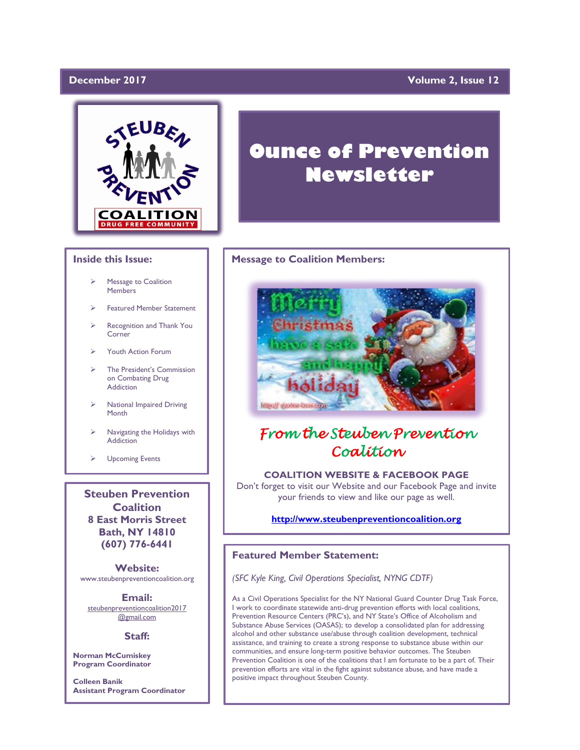# December 2017

# **December 2017 Volume 2, Issue 12**



## **Inside this Issue:**

- Message to Coalition **Members**
- ➢ Featured Member Statement
- Recognition and Thank You Corner
- ➢ Youth Action Forum
- ➢ The President's Commission on Combating Drug Addiction
- ➢ National Impaired Driving Month
- Navigating the Holidays with **Addiction**
- ➢ Upcoming Events

**Steuben Prevention Coalition 8 East Morris Street Bath, NY 14810 (607) 776-6441**

**Website:**  www.steubenpreventioncoalition.org

**Email:**  steubenpreventioncoalition2017

@gmail.com

# **Staff:**

**Norman McCumiskey Program Coordinator**

**Colleen Banik Assistant Program Coordinator**

# **Ounce of Prevention Newsletter**

### **Message to Coalition Members:**



# *From the Steuben Prevention Coalition*

# **COALITION WEBSITE & FACEBOOK PAGE**

Don't forget to visit our Website and our Facebook Page and invite your friends to view and like our page as well.

# **[http://www.steubenpreventioncoalition.org](http://www.steubenpreventioncoalition.org/)**

# **Featured Member Statement:**

*(SFC Kyle King, Civil Operations Specialist, NYNG CDTF)*

As a Civil Operations Specialist for the NY National Guard Counter Drug Task Force, I work to coordinate statewide anti-drug prevention efforts with local coalitions, Prevention Resource Centers (PRC's), and NY State's Office of Alcoholism and Substance Abuse Services (OASAS); to develop a consolidated plan for addressing alcohol and other substance use/abuse through coalition development, technical assistance, and training to create a strong response to substance abuse within our communities, and ensure long-term positive behavior outcomes. The Steuben Prevention Coalition is one of the coalitions that I am fortunate to be a part of. Their prevention efforts are vital in the fight against substance abuse, and have made a positive impact throughout Steuben County.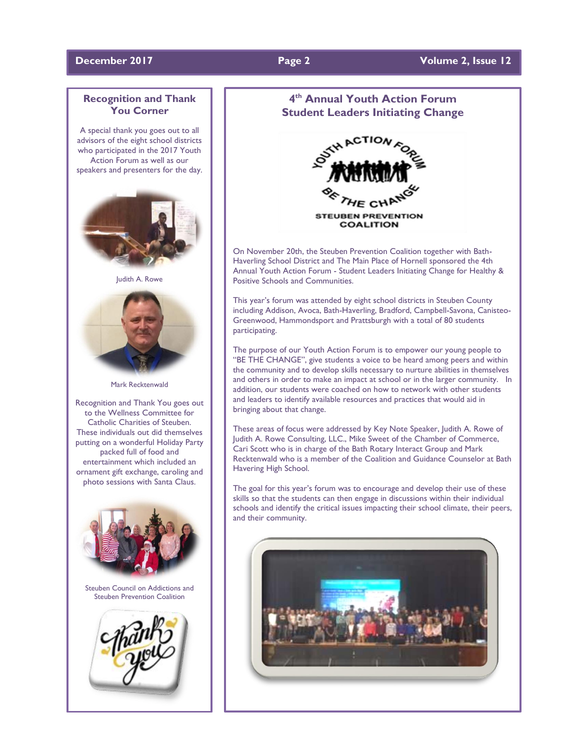# **Recognition and Thank You Corner**

A special thank you goes out to all advisors of the eight school districts who participated in the 2017 Youth Action Forum as well as our speakers and presenters for the day.



Judith A. Rowe



Mark Recktenwald

Recognition and Thank You goes out to the Wellness Committee for Catholic Charities of Steuben. These individuals out did themselves putting on a wonderful Holiday Party packed full of food and entertainment which included an ornament gift exchange, caroling and photo sessions with Santa Claus.



# **4 th Annual Youth Action Forum Student Leaders Initiating Change**



On November 20th, the Steuben Prevention Coalition together with Bath-Haverling School District and The Main Place of Hornell sponsored the 4th Annual Youth Action Forum - Student Leaders Initiating Change for Healthy & Positive Schools and Communities.

This year's forum was attended by eight school districts in Steuben County including Addison, Avoca, Bath-Haverling, Bradford, Campbell-Savona, Canisteo-Greenwood, Hammondsport and Prattsburgh with a total of 80 students participating.

The purpose of our Youth Action Forum is to empower our young people to "BE THE CHANGE", give students a voice to be heard among peers and within the community and to develop skills necessary to nurture abilities in themselves and others in order to make an impact at school or in the larger community. In addition, our students were coached on how to network with other students and leaders to identify available resources and practices that would aid in bringing about that change.

These areas of focus were addressed by Key Note Speaker, Judith A. Rowe of Judith A. Rowe Consulting, LLC., Mike Sweet of the Chamber of Commerce, Cari Scott who is in charge of the Bath Rotary Interact Group and Mark Recktenwald who is a member of the Coalition and Guidance Counselor at Bath Havering High School.

The goal for this year's forum was to encourage and develop their use of these skills so that the students can then engage in discussions within their individual schools and identify the critical issues impacting their school climate, their peers, and their community.

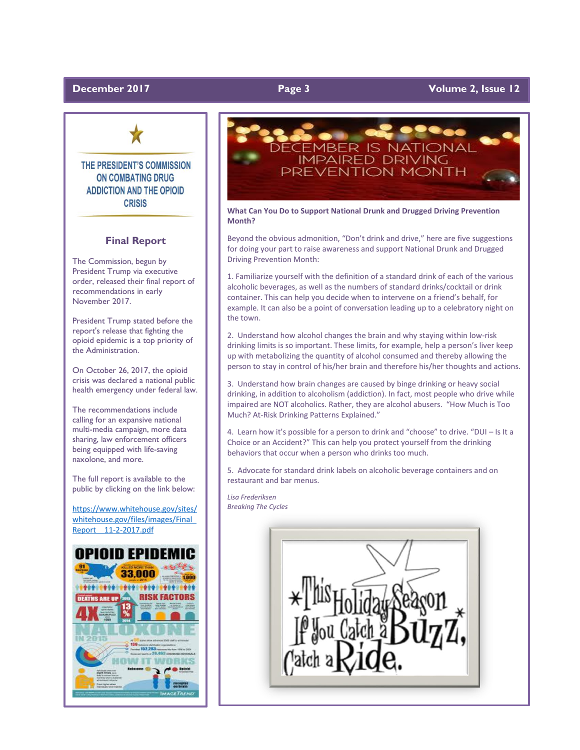# **December** 2017 **Page 3 Page 3 Volume 2, Issue 12**



# THE PRESIDENT'S COMMISSION **ON COMBATING DRUG ADDICTION AND THE OPIOID CRISIS**

### **Final Report**

The Commission, begun by President Trump via executive order, released their final report of recommendations in early November 2017.

President Trump stated before the report's release that fighting the opioid epidemic is a top priority of the Administration.

On October 26, 2017, the opioid crisis was declared a national public health emergency under federal law.

The recommendations include calling for an expansive national multi-media campaign, more data sharing, law enforcement officers being equipped with life-saving naxolone, and more.

The full report is available to the public by clicking on the link below:

[https://www.whitehouse.gov/sites/](https://www.whitehouse.gov/sites/whitehouse.gov/files/images/Final_Report__11-2-2017.pdf) [whitehouse.gov/files/images/Final\\_](https://www.whitehouse.gov/sites/whitehouse.gov/files/images/Final_Report__11-2-2017.pdf) [Report\\_\\_11-2-2017.pdf](https://www.whitehouse.gov/sites/whitehouse.gov/files/images/Final_Report__11-2-2017.pdf)





**What Can You Do to Support National Drunk and Drugged Driving Prevention Month?**

Beyond the obvious admonition, "Don't drink and drive," here are five suggestions for doing your part to raise awareness and support National Drunk and Drugged Driving Prevention Month:

1. Familiarize yourself with the definition of a standard drink of each of the various alcoholic beverages, as well as the numbers of standard drinks/cocktail or drink container. This can help you decide when to intervene on a friend's behalf, for example. It can also be a point of conversation leading up to a celebratory night on the town.

2. Understand how alcohol changes the brain and why staying within low-risk drinking limits is so important. These limits, for example, help a person's liver keep up with metabolizing the quantity of alcohol consumed and thereby allowing the person to stay in control of his/her brain and therefore his/her thoughts and actions.

3. Understand how brain changes are caused by binge drinking or heavy social drinking, in addition to alcoholism (addiction). In fact, most people who drive while impaired are NOT alcoholics. Rather, they are alcohol abusers. "How Much is Too Much? At-Risk Drinking Patterns Explained."

4. Learn how it's possible for a person to drink and "choose" to drive. "DUI – Is It a Choice or an Accident?" This can help you protect yourself from the drinking behaviors that occur when a person who drinks too much.

5. Advocate for standard drink labels on alcoholic beverage containers and on restaurant and bar menus.

*Lisa Frederiksen Breaking The Cycles*